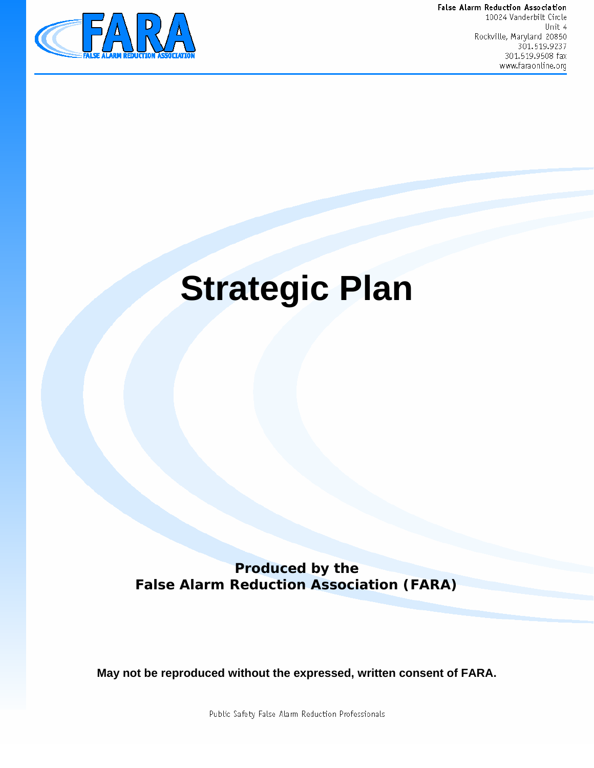

False Alarm Reduction Association 10024 Vanderbilt Circle Unit 4 Rockville, Maryland 20850 301.519.9237 301.519.9508 fax www.faraonline.org

# **Strategic Plan**

**Produced by the False Alarm Reduction Association (FARA)** 

**May not be reproduced without the expressed, written consent of FARA.** 

Public Safety False Alarm Reduction Professionals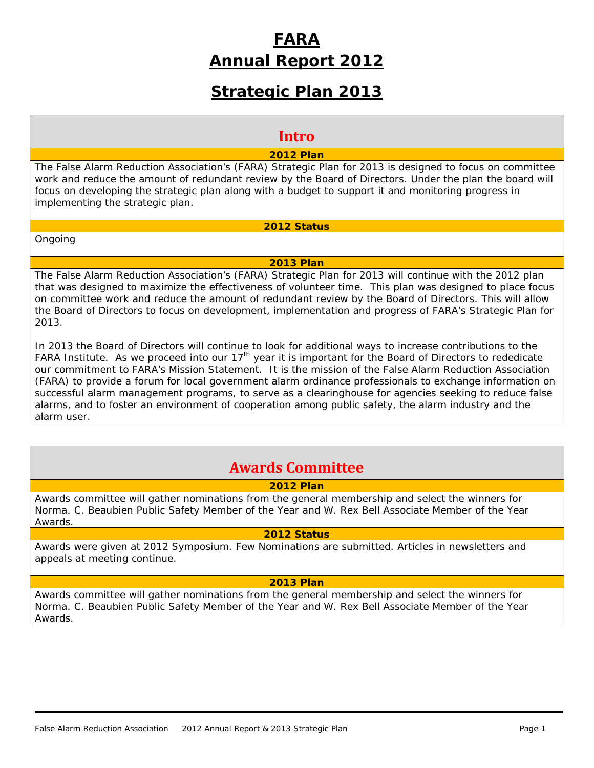# **FARA Annual Report 2012**

# **Strategic Plan 2013**

### **Intro**

#### **2012 Plan**

The False Alarm Reduction Association's (FARA) Strategic Plan for 2013 is designed to focus on committee work and reduce the amount of redundant review by the Board of Directors. Under the plan the board will focus on developing the strategic plan along with a budget to support it and monitoring progress in implementing the strategic plan.

#### **2012 Status**

Ongoing

#### **2013 Plan**

The False Alarm Reduction Association's (FARA) Strategic Plan for 2013 will continue with the 2012 plan that was designed to maximize the effectiveness of volunteer time. This plan was designed to place focus on committee work and reduce the amount of redundant review by the Board of Directors. This will allow the Board of Directors to focus on development, implementation and progress of FARA's Strategic Plan for 2013.

In 2013 the Board of Directors will continue to look for additional ways to increase contributions to the FARA Institute. As we proceed into our  $17<sup>th</sup>$  year it is important for the Board of Directors to rededicate our commitment to FARA's Mission Statement. *It is the mission of the False Alarm Reduction Association (FARA) to provide a forum for local government alarm ordinance professionals to exchange information on successful alarm management programs, to serve as a clearinghouse for agencies seeking to reduce false alarms, and to foster an environment of cooperation among public safety, the alarm industry and the alarm user.*

## **Awards Committee**

#### **2012 Plan**

Awards committee will gather nominations from the general membership and select the winners for Norma. C. Beaubien Public Safety Member of the Year and W. Rex Bell Associate Member of the Year Awards.

#### **2012 Status**

Awards were given at 2012 Symposium. Few Nominations are submitted. Articles in newsletters and appeals at meeting continue.

#### **2013 Plan**

Awards committee will gather nominations from the general membership and select the winners for Norma. C. Beaubien Public Safety Member of the Year and W. Rex Bell Associate Member of the Year Awards.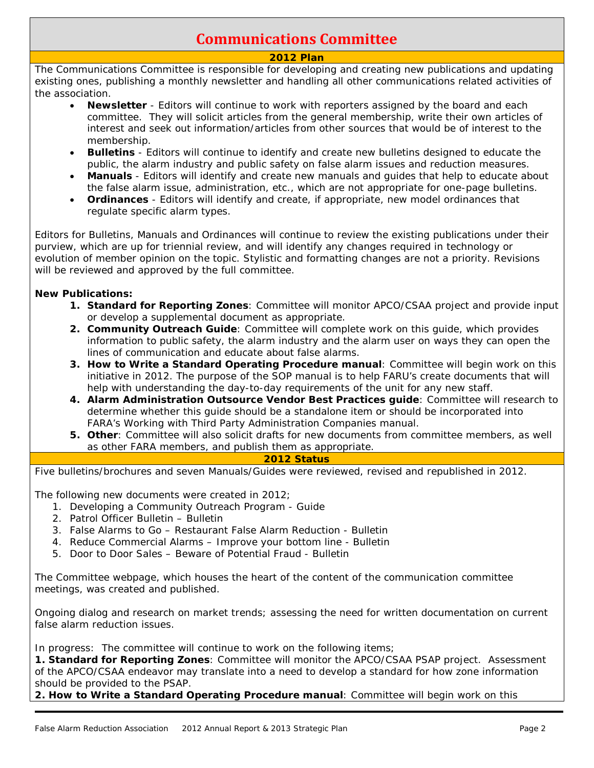# **Communications Committee**

#### **2012 Plan**

The Communications Committee is responsible for developing and creating new publications and updating existing ones, publishing a monthly newsletter and handling all other communications related activities of the association.

- **Newsletter** Editors will continue to work with reporters assigned by the board and each committee. They will solicit articles from the general membership, write their own articles of interest and seek out information/articles from other sources that would be of interest to the membership.
- **Bulletins** Editors will continue to identify and create new bulletins designed to educate the public, the alarm industry and public safety on false alarm issues and reduction measures.
- **Manuals** Editors will identify and create new manuals and guides that help to educate about the false alarm issue, administration, etc., which are not appropriate for one-page bulletins.
- **Ordinances** Editors will identify and create, *if appropriate*, new model ordinances that regulate specific alarm types.

Editors for Bulletins, Manuals and Ordinances will continue to review the existing publications under their purview, which are up for triennial review, and will identify any changes required in technology or evolution of member opinion on the topic. Stylistic and formatting changes are not a priority. Revisions will be reviewed and approved by the full committee.

#### **New Publications:**

- **1. Standard for Reporting Zones**: Committee will monitor APCO/CSAA project and provide input or develop a supplemental document as appropriate.
- **2. Community Outreach Guide**: Committee will complete work on this guide, which provides information to public safety, the alarm industry and the alarm user on ways they can open the lines of communication and educate about false alarms.
- **3. How to Write a Standard Operating Procedure manual**: Committee will begin work on this initiative in 2012. The purpose of the SOP manual is to help FARU's create documents that will help with understanding the day-to-day requirements of the unit for any new staff.
- **4. Alarm Administration Outsource Vendor Best Practices guide**: Committee will research to determine whether this guide should be a standalone item or should be incorporated into FARA's *Working with Third Party Administration Companies* manual.
- **5. Other**: Committee will also solicit drafts for new documents from committee members, as well as other FARA members, and publish them as appropriate.

#### **2012 Status**

Five bulletins/brochures and seven Manuals/Guides were reviewed, revised and republished in 2012.

The following new documents were created in 2012;

- 1. Developing a Community Outreach Program Guide
- 2. Patrol Officer Bulletin Bulletin
- 3. False Alarms to Go Restaurant False Alarm Reduction Bulletin
- 4. Reduce Commercial Alarms Improve your bottom line Bulletin
- 5. Door to Door Sales Beware of Potential Fraud Bulletin

The Committee webpage, which houses the heart of the content of the communication committee meetings, was created and published.

Ongoing dialog and research on market trends; assessing the need for written documentation on current false alarm reduction issues.

In progress: The committee will continue to work on the following items;

**1. Standard for Reporting Zones**: Committee will monitor the APCO/CSAA PSAP project. Assessment of the APCO/CSAA endeavor may translate into a need to develop a standard for how zone information should be provided to the PSAP.

**2. How to Write a Standard Operating Procedure manual**: Committee will begin work on this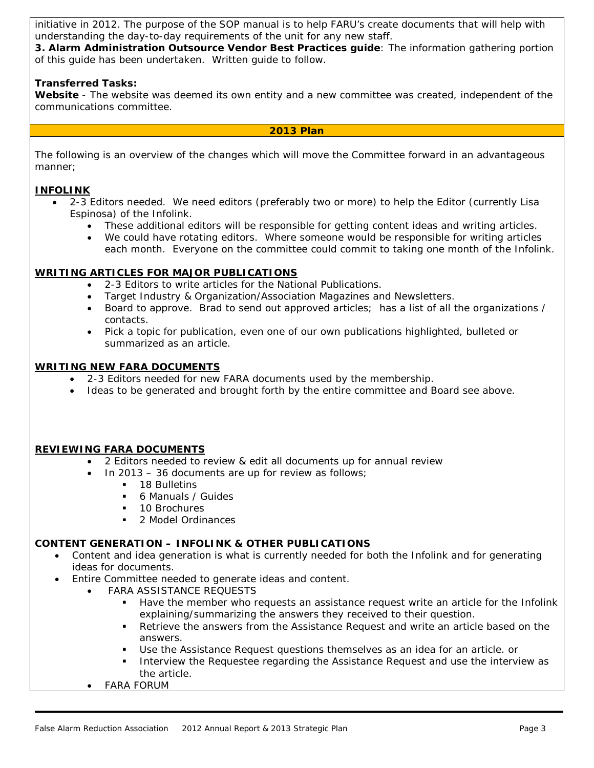initiative in 2012. The purpose of the SOP manual is to help FARU's create documents that will help with understanding the day-to-day requirements of the unit for any new staff.

**3. Alarm Administration Outsource Vendor Best Practices guide**: The information gathering portion of this guide has been undertaken. Written guide to follow.

#### **Transferred Tasks:**

**Website** - The website was deemed its own entity and a new committee was created, independent of the communications committee.

#### **2013 Plan**

The following is an overview of the changes which will move the Committee forward in an advantageous manner;

#### **INFOLINK**

- 2-3 Editors needed. We need editors (preferably two or more) to help the Editor (currently Lisa Espinosa) of the Infolink.
	- These additional editors will be responsible for getting content ideas and writing articles.
	- We could have rotating editors. Where someone would be responsible for writing articles each month. Everyone on the committee could commit to taking one month of the Infolink.

#### **WRITING ARTICLES FOR MAJOR PUBLICATIONS**

- 2-3 Editors to write articles for the National Publications.
- Target Industry & Organization/Association Magazines and Newsletters.
- Board to approve. Brad to send out approved articles; has a list of all the organizations / contacts.
- Pick a topic for publication, even one of our own publications highlighted, bulleted or summarized as an article.

#### **WRITING NEW FARA DOCUMENTS**

- 2-3 Editors needed for new FARA documents used by the membership.
- Ideas to be generated and brought forth by the entire committee and Board see above.

#### **REVIEWING FARA DOCUMENTS**

- 2 Editors needed to review & edit all documents up for annual review
	- In 2013 36 documents are up for review as follows;
		- 18 Bulletins
		- 6 Manuals / Guides
		- **10 Brochures**
		- 2 Model Ordinances

#### **CONTENT GENERATION – INFOLINK & OTHER PUBLICATIONS**

- Content and idea generation is what is currently needed for both the Infolink and for generating ideas for documents.
- Entire Committee needed to generate ideas and content.
	- FARA ASSISTANCE REQUESTS
		- Have the member who requests an assistance request write an article for the Infolink explaining/summarizing the answers they received to their question.
		- Retrieve the answers from the Assistance Request and write an article based on the answers.
		- Use the Assistance Request questions themselves as an idea for an article. or
		- **Interview the Requestee regarding the Assistance Request and use the interview as** the article.
	- FARA FORUM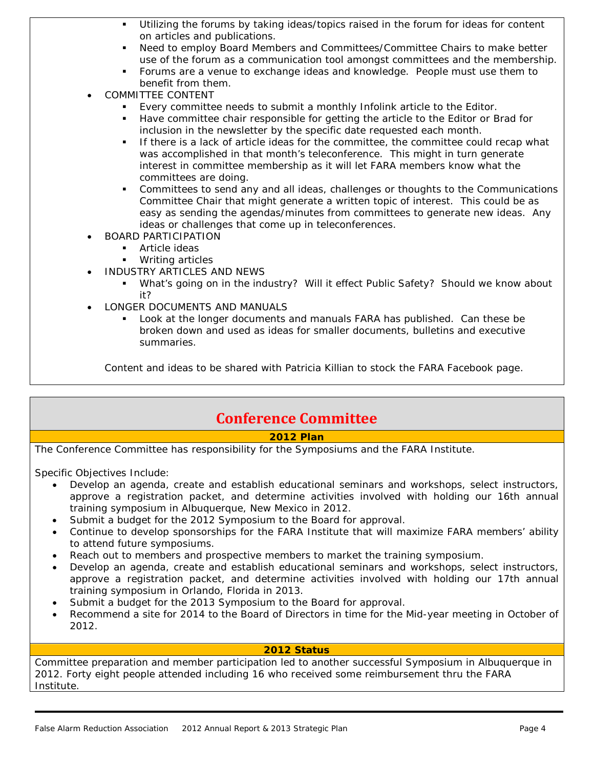- Utilizing the forums by taking ideas/topics raised in the forum for ideas for content on articles and publications.
- Need to employ Board Members and Committees/Committee Chairs to make better use of the forum as a communication tool amongst committees and the membership.
- Forums are a venue to exchange ideas and knowledge. People must use them to benefit from them.
- COMMITTEE CONTENT
	- Every committee needs to submit a monthly Infolink article to the Editor.
	- Have committee chair responsible for getting the article to the Editor or Brad for inclusion in the newsletter by the specific date requested each month.
	- **If there is a lack of article ideas for the committee, the committee could recap what** was accomplished in that month's teleconference. This might in turn generate interest in committee membership as it will let FARA members know what the committees are doing.
	- Committees to send any and all ideas, challenges or thoughts to the Communications Committee Chair that might generate a written topic of interest. This could be as easy as sending the agendas/minutes from committees to generate new ideas. Any ideas or challenges that come up in teleconferences.
- BOARD PARTICIPATION
	- **Article ideas**
	- **Writing articles**
- INDUSTRY ARTICLES AND NEWS
	- What's going on in the industry? Will it effect Public Safety? Should we know about it?
- LONGER DOCUMENTS AND MANUALS
	- Look at the longer documents and manuals FARA has published. Can these be broken down and used as ideas for smaller documents, bulletins and executive summaries.

Content and ideas to be shared with Patricia Killian to stock the FARA Facebook page.

## **Conference Committee**

#### **2012 Plan**

The Conference Committee has responsibility for the Symposiums and the FARA Institute.

Specific Objectives Include:

- Develop an agenda, create and establish educational seminars and workshops, select instructors, approve a registration packet, and determine activities involved with holding our 16th annual training symposium in Albuquerque, New Mexico in 2012.
- Submit a budget for the 2012 Symposium to the Board for approval.
- Continue to develop sponsorships for the FARA Institute that will maximize FARA members' ability to attend future symposiums.
- Reach out to members and prospective members to market the training symposium.
- Develop an agenda, create and establish educational seminars and workshops, select instructors, approve a registration packet, and determine activities involved with holding our 17th annual training symposium in Orlando, Florida in 2013.
- Submit a budget for the 2013 Symposium to the Board for approval.
- Recommend a site for 2014 to the Board of Directors in time for the Mid-year meeting in October of 2012.

#### **2012 Status**

Committee preparation and member participation led to another successful Symposium in Albuquerque in 2012. Forty eight people attended including 16 who received some reimbursement thru the FARA Institute.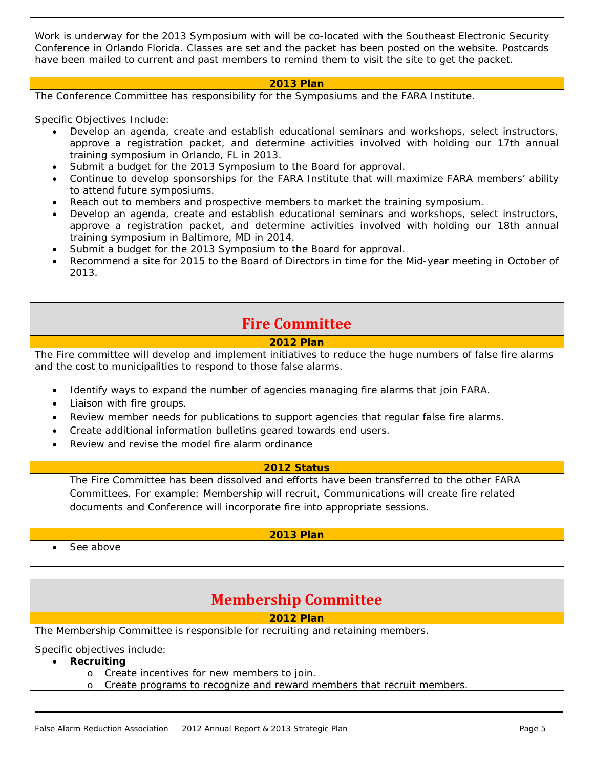Work is underway for the 2013 Symposium with will be co-located with the Southeast Electronic Security Conference in Orlando Florida. Classes are set and the packet has been posted on the website. Postcards have been mailed to current and past members to remind them to visit the site to get the packet.

#### **2013 Plan**

The Conference Committee has responsibility for the Symposiums and the FARA Institute.

Specific Objectives Include:

- Develop an agenda, create and establish educational seminars and workshops, select instructors, approve a registration packet, and determine activities involved with holding our 17th annual training symposium in Orlando, FL in 2013.
- Submit a budget for the 2013 Symposium to the Board for approval.
- Continue to develop sponsorships for the FARA Institute that will maximize FARA members' ability to attend future symposiums.
- Reach out to members and prospective members to market the training symposium.
- Develop an agenda, create and establish educational seminars and workshops, select instructors, approve a registration packet, and determine activities involved with holding our 18th annual training symposium in Baltimore, MD in 2014.
- Submit a budget for the 2013 Symposium to the Board for approval.
- Recommend a site for 2015 to the Board of Directors in time for the Mid-year meeting in October of 2013.

## **Fire Committee**

#### **2012 Plan**

The Fire committee will develop and implement initiatives to reduce the huge numbers of false fire alarms and the cost to municipalities to respond to those false alarms.

- Identify ways to expand the number of agencies managing fire alarms that join FARA.
- Liaison with fire groups.
- Review member needs for publications to support agencies that regular false fire alarms.
- Create additional information bulletins geared towards end users.
- Review and revise the model fire alarm ordinance

#### **2012 Status**

The Fire Committee has been dissolved and efforts have been transferred to the other FARA Committees. For example: Membership will recruit, Communications will create fire related documents and Conference will incorporate fire into appropriate sessions.

#### **2013 Plan**

See above

## **Membership Committee**

#### **2012 Plan**

The Membership Committee is responsible for recruiting and retaining members.

Specific objectives include:

- **Recruiting**
	- o Create incentives for new members to join.
	- o Create programs to recognize and reward members that recruit members.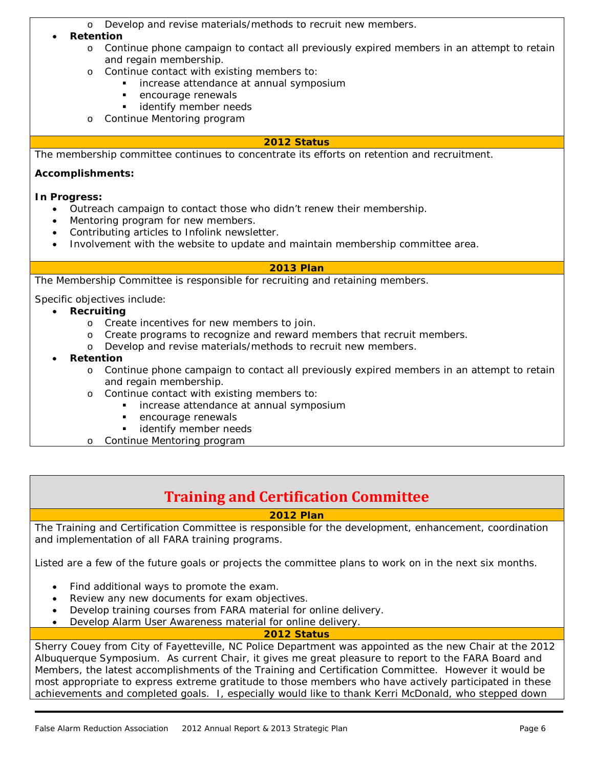o Develop and revise materials/methods to recruit new members.

#### • **Retention**

- o Continue phone campaign to contact all previously expired members in an attempt to retain and regain membership.
- o Continue contact with existing members to:
	- **i** increase attendance at annual symposium
	- **EXECUTE A** encourage renewals
	- **identify member needs**
- o Continue Mentoring program

#### **2012 Status**

The membership committee continues to concentrate its efforts on retention and recruitment.

#### **Accomplishments:**

#### **In Progress:**

- Outreach campaign to contact those who didn't renew their membership.
- Mentoring program for new members.
- Contributing articles to Infolink newsletter.
- Involvement with the website to update and maintain membership committee area.

#### **2013 Plan**

The Membership Committee is responsible for recruiting and retaining members.

Specific objectives include:

- **Recruiting**
	- o Create incentives for new members to join.
	- o Create programs to recognize and reward members that recruit members.
	- o Develop and revise materials/methods to recruit new members.
- **Retention**
	- o Continue phone campaign to contact all previously expired members in an attempt to retain and regain membership.
	- o Continue contact with existing members to:<br>increase attendance at annual sympole
		- increase attendance at annual symposium
		- **EXECUTE A** encourage renewals
		- **identify member needs**
	- o Continue Mentoring program

## **Training and Certification Committee**

#### **2012 Plan**

The Training and Certification Committee is responsible for the development, enhancement, coordination and implementation of all FARA training programs.

Listed are a few of the future goals or projects the committee plans to work on in the next six months.

- Find additional ways to promote the exam.
- Review any new documents for exam objectives.
- Develop training courses from FARA material for online delivery.
	- Develop Alarm User Awareness material for online delivery.

#### **2012 Status**

Sherry Couey from City of Fayetteville, NC Police Department was appointed as the new Chair at the 2012 Albuquerque Symposium. As current Chair, it gives me great pleasure to report to the FARA Board and Members, the latest accomplishments of the Training and Certification Committee. However it would be most appropriate to express extreme gratitude to those members who have actively participated in these achievements and completed goals. I, especially would like to thank Kerri McDonald, who stepped down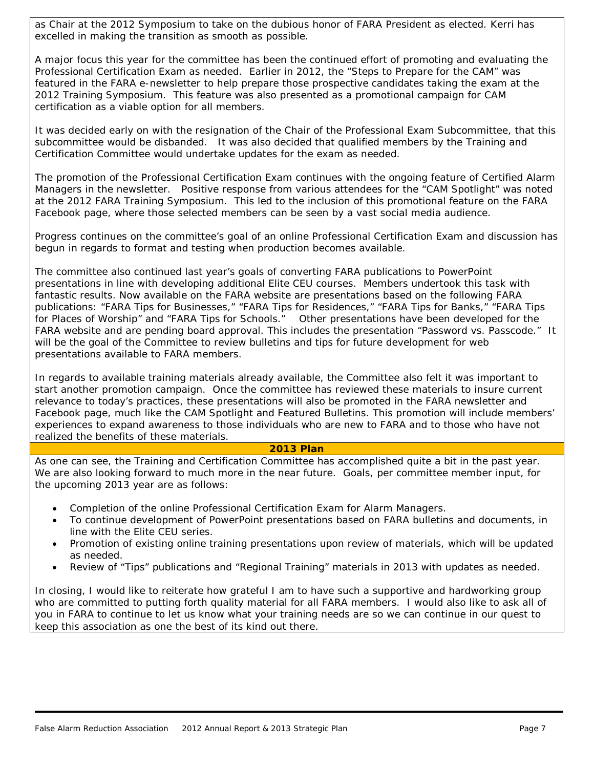as Chair at the 2012 Symposium to take on the dubious honor of FARA President as elected. Kerri has excelled in making the transition as smooth as possible.

A major focus this year for the committee has been the continued effort of promoting and evaluating the Professional Certification Exam as needed. Earlier in 2012, the "Steps to Prepare for the CAM" was featured in the FARA e-newsletter to help prepare those prospective candidates taking the exam at the 2012 Training Symposium. This feature was also presented as a promotional campaign for CAM certification as a viable option for all members.

It was decided early on with the resignation of the Chair of the Professional Exam Subcommittee, that this subcommittee would be disbanded. It was also decided that qualified members by the Training and Certification Committee would undertake updates for the exam as needed.

The promotion of the Professional Certification Exam continues with the ongoing feature of Certified Alarm Managers in the newsletter. Positive response from various attendees for the "CAM Spotlight" was noted at the 2012 FARA Training Symposium. This led to the inclusion of this promotional feature on the FARA Facebook page, where those selected members can be seen by a vast social media audience.

Progress continues on the committee's goal of an online Professional Certification Exam and discussion has begun in regards to format and testing when production becomes available.

The committee also continued last year's goals of converting FARA publications to PowerPoint presentations in line with developing additional Elite CEU courses. Members undertook this task with fantastic results. Now available on the FARA website are presentations based on the following FARA publications: "FARA Tips for Businesses," "FARA Tips for Residences," "FARA Tips for Banks," "FARA Tips for Places of Worship" and "FARA Tips for Schools." Other presentations have been developed for the FARA website and are pending board approval. This includes the presentation "Password vs. Passcode." It will be the goal of the Committee to review bulletins and tips for future development for web presentations available to FARA members.

In regards to available training materials already available, the Committee also felt it was important to start another promotion campaign. Once the committee has reviewed these materials to insure current relevance to today's practices, these presentations will also be promoted in the FARA newsletter and Facebook page, much like the CAM Spotlight and Featured Bulletins. This promotion will include members' experiences to expand awareness to those individuals who are new to FARA and to those who have not realized the benefits of these materials.

#### **2013 Plan**

As one can see, the Training and Certification Committee has accomplished quite a bit in the past year. We are also looking forward to much more in the near future. Goals, per committee member input, for the upcoming 2013 year are as follows:

- Completion of the online Professional Certification Exam for Alarm Managers.
- To continue development of PowerPoint presentations based on FARA bulletins and documents, in line with the Elite CEU series.
- Promotion of existing online training presentations upon review of materials, which will be updated as needed.
- Review of "Tips" publications and "Regional Training" materials in 2013 with updates as needed.

In closing, I would like to reiterate how grateful I am to have such a supportive and hardworking group who are committed to putting forth quality material for all FARA members. I would also like to ask all of you in FARA to continue to let us know what your training needs are so we can continue in our quest to keep this association as one the best of its kind out there.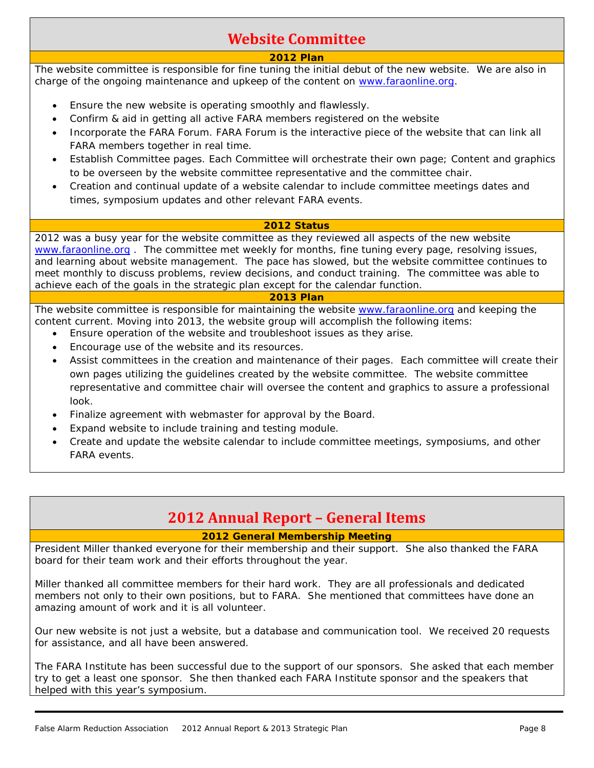# **Website Committee**

#### **2012 Plan**

The website committee is responsible for fine tuning the initial debut of the new website. We are also in charge of the ongoing maintenance and upkeep of the content on [www.faraonline.org.](http://www.faraonline.org/)

- Ensure the new website is operating smoothly and flawlessly.
- Confirm & aid in getting all active FARA members registered on the website
- Incorporate the FARA Forum. FARA Forum is the interactive piece of the website that can link all FARA members together in real time.
- Establish Committee pages. Each Committee will orchestrate their own page; Content and graphics to be overseen by the website committee representative and the committee chair.
- Creation and continual update of a website calendar to include committee meetings dates and times, symposium updates and other relevant FARA events.

#### **2012 Status**

2012 was a busy year for the website committee as they reviewed all aspects of the new website [www.faraonline.org](http://www.faraonline.org/) . The committee met weekly for months, fine tuning every page, resolving issues, and learning about website management. The pace has slowed, but the website committee continues to meet monthly to discuss problems, review decisions, and conduct training. The committee was able to achieve each of the goals in the strategic plan except for the calendar function.

#### **2013 Plan**

The website committee is responsible for maintaining the website [www.faraonline.org](http://www.faraonline.org/) and keeping the content current. Moving into 2013, the website group will accomplish the following items:

- Ensure operation of the website and troubleshoot issues as they arise.
- Encourage use of the website and its resources.
- Assist committees in the creation and maintenance of their pages. Each committee will create their own pages utilizing the guidelines created by the website committee. The website committee representative and committee chair will oversee the content and graphics to assure a professional look.
- Finalize agreement with webmaster for approval by the Board.
- Expand website to include training and testing module.
- Create and update the website calendar to include committee meetings, symposiums, and other FARA events.

## **2012 Annual Report – General Items**

#### **2012 General Membership Meeting**

President Miller thanked everyone for their membership and their support. She also thanked the FARA board for their team work and their efforts throughout the year.

Miller thanked all committee members for their hard work. They are all professionals and dedicated members not only to their own positions, but to FARA. She mentioned that committees have done an amazing amount of work and it is all volunteer.

Our new website is not just a website, but a database and communication tool. We received 20 requests for assistance, and all have been answered.

The FARA Institute has been successful due to the support of our sponsors. She asked that each member try to get a least one sponsor. She then thanked each FARA Institute sponsor and the speakers that helped with this year's symposium.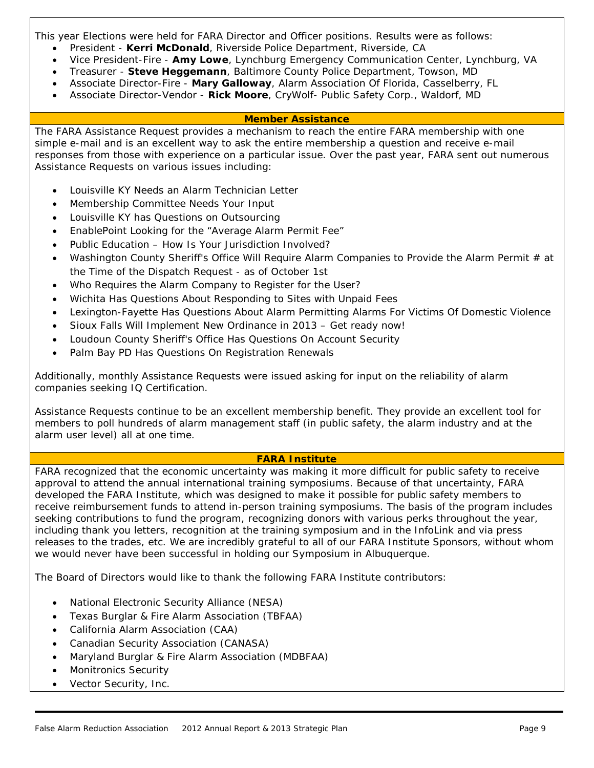This year Elections were held for FARA Director and Officer positions. Results were as follows:

- President **Kerri McDonald**, Riverside Police Department, Riverside, CA
- Vice President-Fire **Amy Lowe**, Lynchburg Emergency Communication Center, Lynchburg, VA
- Treasurer **Steve Heggemann**, Baltimore County Police Department, Towson, MD
- Associate Director-Fire **Mary Galloway**, Alarm Association Of Florida, Casselberry, FL
- Associate Director-Vendor **Rick Moore**, CryWolf- Public Safety Corp., Waldorf, MD

#### **Member Assistance**

The FARA Assistance Request provides a mechanism to reach the entire FARA membership with one simple e-mail and is an excellent way to ask the entire membership a question and receive e-mail responses from those with experience on a particular issue. Over the past year, FARA sent out numerous Assistance Requests on various issues including:

- Louisville KY Needs an Alarm Technician Letter
- Membership Committee Needs Your Input
- Louisville KY has Questions on Outsourcing
- EnablePoint Looking for the "Average Alarm Permit Fee"
- Public Education How Is Your Jurisdiction Involved?
- Washington County Sheriff's Office Will Require Alarm Companies to Provide the Alarm Permit # at the Time of the Dispatch Request - as of October 1st
- Who Requires the Alarm Company to Register for the User?
- Wichita Has Questions About Responding to Sites with Unpaid Fees
- Lexington-Fayette Has Questions About Alarm Permitting Alarms For Victims Of Domestic Violence
- Sioux Falls Will Implement New Ordinance in 2013 Get ready now!
- Loudoun County Sheriff's Office Has Questions On Account Security
- Palm Bay PD Has Questions On Registration Renewals

Additionally, monthly Assistance Requests were issued asking for input on the reliability of alarm companies seeking IQ Certification.

Assistance Requests continue to be an excellent membership benefit. They provide an excellent tool for members to poll hundreds of alarm management staff (in public safety, the alarm industry and at the alarm user level) all at one time.

#### **FARA Institute**

FARA recognized that the economic uncertainty was making it more difficult for public safety to receive approval to attend the annual international training symposiums. Because of that uncertainty, FARA developed the FARA Institute, which was designed to make it possible for public safety members to receive reimbursement funds to attend in-person training symposiums. The basis of the program includes seeking contributions to fund the program, recognizing donors with various perks throughout the year, including thank you letters, recognition at the training symposium and in the InfoLink and via press releases to the trades, etc. We are incredibly grateful to all of our FARA Institute Sponsors, without whom we would never have been successful in holding our Symposium in Albuquerque.

The Board of Directors would like to thank the following FARA Institute contributors:

- National Electronic Security Alliance (NESA)
- Texas Burglar & Fire Alarm Association (TBFAA)
- California Alarm Association (CAA)
- Canadian Security Association (CANASA)
- Maryland Burglar & Fire Alarm Association (MDBFAA)
- Monitronics Security
- Vector Security, Inc.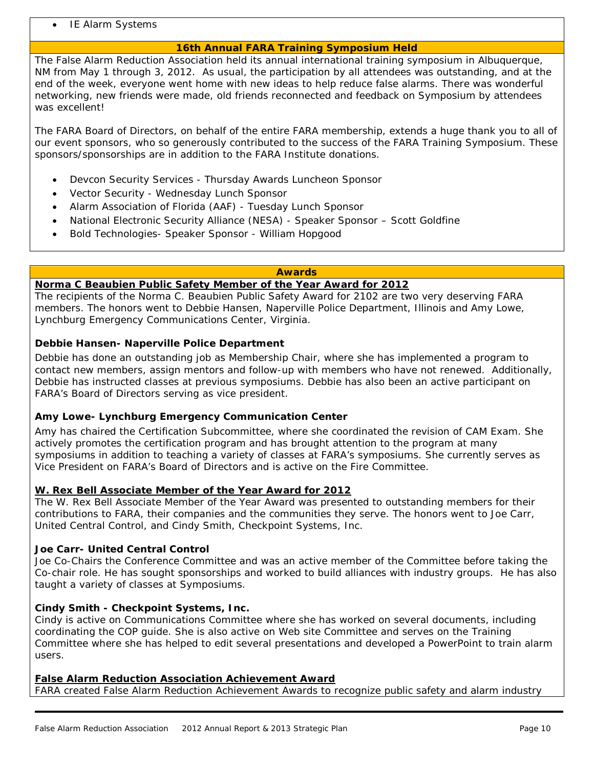**IE Alarm Systems** 

#### **16th Annual FARA Training Symposium Held**

The False Alarm Reduction Association held its annual international training symposium in Albuquerque, NM from May 1 through 3, 2012. As usual, the participation by all attendees was outstanding, and at the end of the week, everyone went home with new ideas to help reduce false alarms. There was wonderful networking, new friends were made, old friends reconnected and feedback on Symposium by attendees was excellent!

The FARA Board of Directors, on behalf of the entire FARA membership, extends a huge thank you to all of our event sponsors, who so generously contributed to the success of the FARA Training Symposium. These sponsors/sponsorships are *in addition* to the FARA Institute donations.

- Devcon Security Services Thursday Awards Luncheon Sponsor
- Vector Security Wednesday Lunch Sponsor
- Alarm Association of Florida (AAF) Tuesday Lunch Sponsor
- National Electronic Security Alliance (NESA) Speaker Sponsor Scott Goldfine
- Bold Technologies- Speaker Sponsor William Hopgood

#### **Awards**

#### **Norma C Beaubien Public Safety Member of the Year Award for 2012**

The recipients of the Norma C. Beaubien Public Safety Award for 2102 are two very deserving FARA members. The honors went to Debbie Hansen, Naperville Police Department, Illinois and Amy Lowe, Lynchburg Emergency Communications Center, Virginia.

#### **Debbie Hansen- Naperville Police Department**

Debbie has done an outstanding job as Membership Chair, where she has implemented a program to contact new members, assign mentors and follow-up with members who have not renewed. Additionally, Debbie has instructed classes at previous symposiums. Debbie has also been an active participant on FARA's Board of Directors serving as vice president.

#### **Amy Lowe- Lynchburg Emergency Communication Center**

Amy has chaired the Certification Subcommittee, where she coordinated the revision of CAM Exam. She actively promotes the certification program and has brought attention to the program at many symposiums in addition to teaching a variety of classes at FARA's symposiums. She currently serves as Vice President on FARA's Board of Directors and is active on the Fire Committee.

#### **W. Rex Bell Associate Member of the Year Award for 2012**

The W. Rex Bell Associate Member of the Year Award was presented to outstanding members for their contributions to FARA, their companies and the communities they serve. The honors went to Joe Carr, United Central Control, and Cindy Smith, Checkpoint Systems, Inc.

#### **Joe Carr- United Central Control**

Joe Co-Chairs the Conference Committee and was an active member of the Committee before taking the Co-chair role. He has sought sponsorships and worked to build alliances with industry groups. He has also taught a variety of classes at Symposiums.

#### **Cindy Smith - Checkpoint Systems, Inc.**

Cindy is active on Communications Committee where she has worked on several documents, including coordinating the COP guide. She is also active on Web site Committee and serves on the Training Committee where she has helped to edit several presentations and developed a PowerPoint to train alarm users.

#### **False Alarm Reduction Association Achievement Award**

FARA created False Alarm Reduction Achievement Awards to recognize public safety and alarm industry